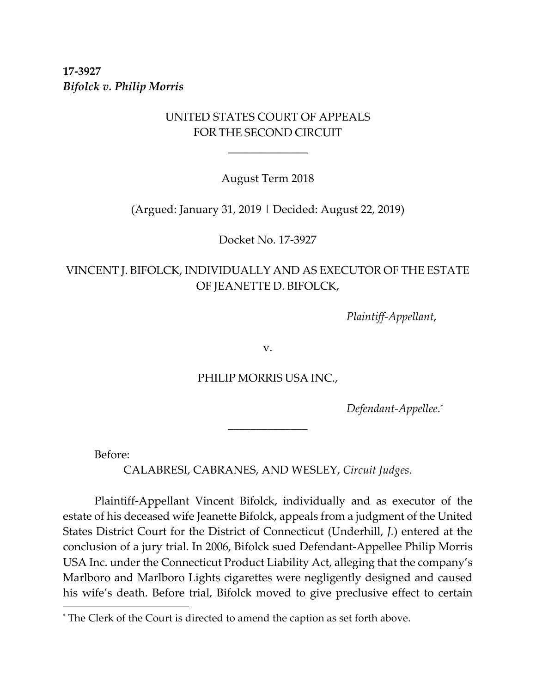**17‐3927** *Bifolck v. Philip Morris*

## UNITED STATES COURT OF APPEALS FOR THE SECOND CIRCUIT

 $\overline{\phantom{a}}$  , we are the contract of the contract of the contract of the contract of the contract of the contract of the contract of the contract of the contract of the contract of the contract of the contract of the cont

August Term 2018

(Argued: January 31, 2019 | Decided: August 22, 2019)

Docket No. 17‐3927

# VINCENT J. BIFOLCK, INDIVIDUALLY AND AS EXECUTOR OF THE ESTATE OF JEANETTE D. BIFOLCK,

 *Plaintiff‐Appellant*,

v.

PHILIP MORRIS USA INC.,

\_\_\_\_\_\_\_\_\_\_\_\_\_\_

 *Defendant‐Appellee*. \*

Before:

 $\overline{a}$ 

CALABRESI, CABRANES, AND WESLEY, *Circuit Judges*.

Plaintiff‐Appellant Vincent Bifolck, individually and as executor of the estate of his deceased wife Jeanette Bifolck, appeals from a judgment of the United States District Court for the District of Connecticut (Underhill, *J.*) entered at the conclusion of a jury trial. In 2006, Bifolck sued Defendant‐Appellee Philip Morris USA Inc. under the Connecticut Product Liability Act, alleging that the company's Marlboro and Marlboro Lights cigarettes were negligently designed and caused his wife's death. Before trial, Bifolck moved to give preclusive effect to certain

<sup>\*</sup> The Clerk of the Court is directed to amend the caption as set forth above.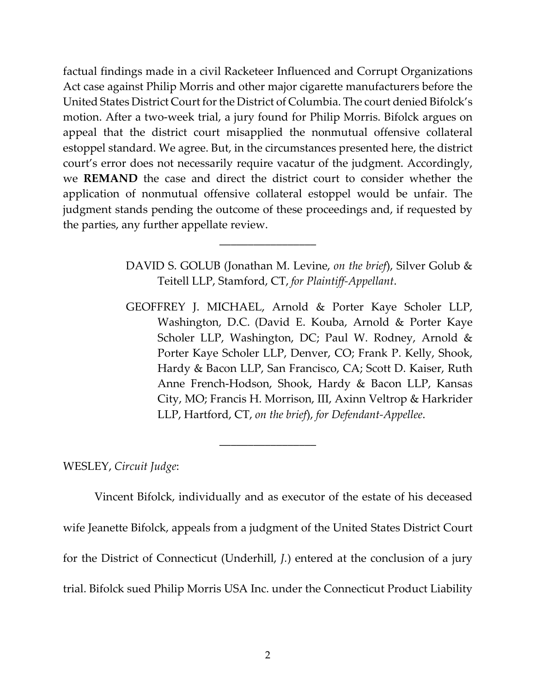factual findings made in a civil Racketeer Influenced and Corrupt Organizations Act case against Philip Morris and other major cigarette manufacturers before the United States District Court for the District of Columbia. The court denied Bifolck's motion. After a two-week trial, a jury found for Philip Morris. Bifolck argues on appeal that the district court misapplied the nonmutual offensive collateral estoppel standard. We agree. But, in the circumstances presented here, the district court's error does not necessarily require vacatur of the judgment. Accordingly, we **REMAND** the case and direct the district court to consider whether the application of nonmutual offensive collateral estoppel would be unfair. The judgment stands pending the outcome of these proceedings and, if requested by the parties, any further appellate review.

\_\_\_\_\_\_\_\_\_\_\_\_\_\_\_\_\_

DAVID S. GOLUB (Jonathan M. Levine, *on the brief*), Silver Golub & Teitell LLP, Stamford, CT, *for Plaintiff‐Appellant*.

GEOFFREY J. MICHAEL, Arnold & Porter Kaye Scholer LLP, Washington, D.C. (David E. Kouba, Arnold & Porter Kaye Scholer LLP, Washington, DC; Paul W. Rodney, Arnold & Porter Kaye Scholer LLP, Denver, CO; Frank P. Kelly, Shook, Hardy & Bacon LLP, San Francisco, CA; Scott D. Kaiser, Ruth Anne French‐Hodson, Shook, Hardy & Bacon LLP, Kansas City, MO; Francis H. Morrison, III, Axinn Veltrop & Harkrider LLP, Hartford, CT, *on the brief*), *for Defendant‐Appellee*.

WESLEY, *Circuit Judge*:

Vincent Bifolck, individually and as executor of the estate of his deceased wife Jeanette Bifolck, appeals from a judgment of the United States District Court for the District of Connecticut (Underhill, *J.*) entered at the conclusion of a jury trial. Bifolck sued Philip Morris USA Inc. under the Connecticut Product Liability

\_\_\_\_\_\_\_\_\_\_\_\_\_\_\_\_\_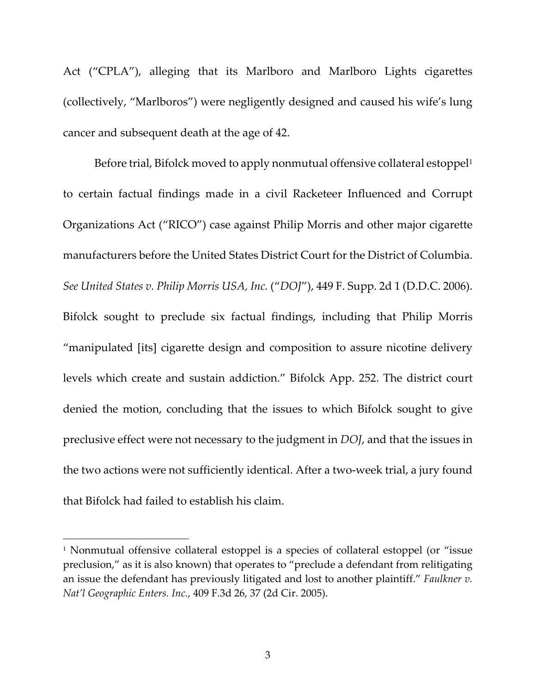Act ("CPLA"), alleging that its Marlboro and Marlboro Lights cigarettes (collectively, "Marlboros") were negligently designed and caused his wife's lung cancer and subsequent death at the age of 42.

Before trial, Bifolck moved to apply nonmutual offensive collateral estoppel<sup>1</sup> to certain factual findings made in a civil Racketeer Influenced and Corrupt Organizations Act ("RICO") case against Philip Morris and other major cigarette manufacturers before the United States District Court for the District of Columbia. *See United States v. Philip Morris USA, Inc.* ("*DOJ*"), 449 F. Supp. 2d 1 (D.D.C. 2006). Bifolck sought to preclude six factual findings, including that Philip Morris "manipulated [its] cigarette design and composition to assure nicotine delivery levels which create and sustain addiction." Bifolck App. 252. The district court denied the motion, concluding that the issues to which Bifolck sought to give preclusive effect were not necessary to the judgment in *DOJ*, and that the issues in the two actions were not sufficiently identical. After a two‐week trial, a jury found that Bifolck had failed to establish his claim.

<sup>&</sup>lt;sup>1</sup> Nonmutual offensive collateral estoppel is a species of collateral estoppel (or "issue preclusion," as it is also known) that operates to "preclude a defendant from relitigating an issue the defendant has previously litigated and lost to another plaintiff." *Faulkner v. Nat'l Geographic Enters. Inc.*, 409 F.3d 26, 37 (2d Cir. 2005).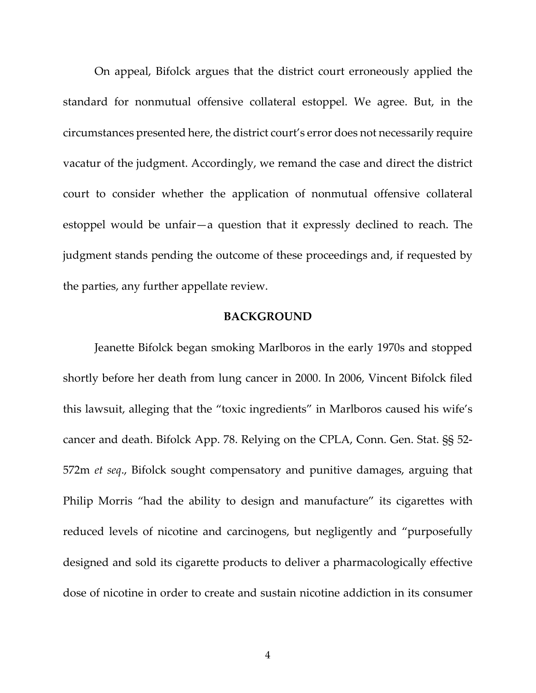On appeal, Bifolck argues that the district court erroneously applied the standard for nonmutual offensive collateral estoppel. We agree. But, in the circumstances presented here, the district court's error does not necessarily require vacatur of the judgment. Accordingly, we remand the case and direct the district court to consider whether the application of nonmutual offensive collateral estoppel would be unfair—a question that it expressly declined to reach. The judgment stands pending the outcome of these proceedings and, if requested by the parties, any further appellate review.

#### **BACKGROUND**

Jeanette Bifolck began smoking Marlboros in the early 1970s and stopped shortly before her death from lung cancer in 2000. In 2006, Vincent Bifolck filed this lawsuit, alleging that the "toxic ingredients" in Marlboros caused his wife's cancer and death. Bifolck App. 78. Relying on the CPLA, Conn. Gen. Stat. §§ 52‐ 572m *et seq*., Bifolck sought compensatory and punitive damages, arguing that Philip Morris "had the ability to design and manufacture" its cigarettes with reduced levels of nicotine and carcinogens, but negligently and "purposefully designed and sold its cigarette products to deliver a pharmacologically effective dose of nicotine in order to create and sustain nicotine addiction in its consumer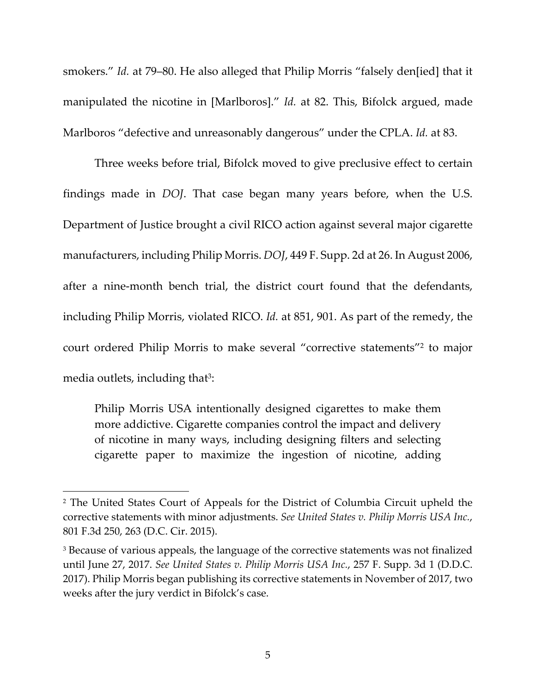smokers." *Id.* at 79–80. He also alleged that Philip Morris "falsely den[ied] that it manipulated the nicotine in [Marlboros]." *Id.* at 82. This, Bifolck argued, made Marlboros "defective and unreasonably dangerous" under the CPLA. *Id.* at 83.

Three weeks before trial, Bifolck moved to give preclusive effect to certain findings made in *DOJ*. That case began many years before, when the U.S. Department of Justice brought a civil RICO action against several major cigarette manufacturers, including Philip Morris. *DOJ*, 449 F. Supp. 2d at 26. In August 2006, after a nine‐month bench trial, the district court found that the defendants, including Philip Morris, violated RICO. *Id.* at 851, 901. As part of the remedy, the court ordered Philip Morris to make several "corrective statements"2 to major media outlets, including that<sup>3</sup>:

Philip Morris USA intentionally designed cigarettes to make them more addictive. Cigarette companies control the impact and delivery of nicotine in many ways, including designing filters and selecting cigarette paper to maximize the ingestion of nicotine, adding

<sup>2</sup> The United States Court of Appeals for the District of Columbia Circuit upheld the corrective statements with minor adjustments. *See United States v. Philip Morris USA Inc.*, 801 F.3d 250, 263 (D.C. Cir. 2015).

<sup>&</sup>lt;sup>3</sup> Because of various appeals, the language of the corrective statements was not finalized until June 27, 2017. *See United States v. Philip Morris USA Inc.*, 257 F. Supp. 3d 1 (D.D.C. 2017). Philip Morris began publishing its corrective statements in November of 2017, two weeks after the jury verdict in Bifolck's case.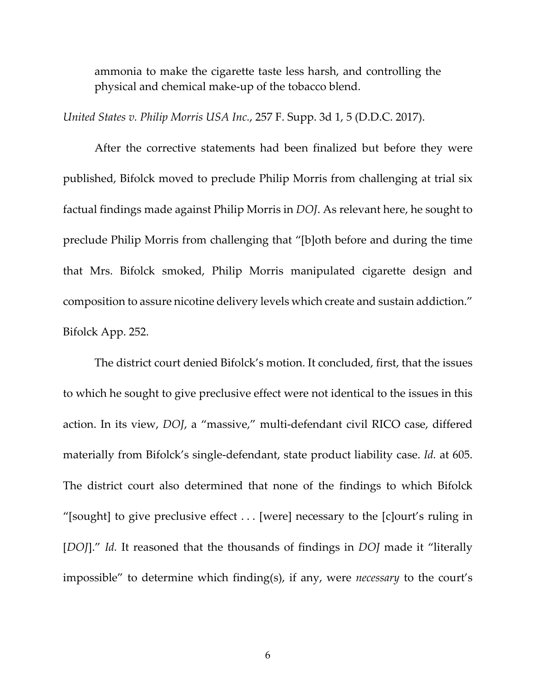ammonia to make the cigarette taste less harsh, and controlling the physical and chemical make‐up of the tobacco blend.

*United States v. Philip Morris USA Inc.*, 257 F. Supp. 3d 1, 5 (D.D.C. 2017).

After the corrective statements had been finalized but before they were published, Bifolck moved to preclude Philip Morris from challenging at trial six factual findings made against Philip Morris in *DOJ*. As relevant here, he sought to preclude Philip Morris from challenging that "[b]oth before and during the time that Mrs. Bifolck smoked, Philip Morris manipulated cigarette design and composition to assure nicotine delivery levels which create and sustain addiction." Bifolck App. 252.

The district court denied Bifolck's motion. It concluded, first, that the issues to which he sought to give preclusive effect were not identical to the issues in this action. In its view, *DOJ*, a "massive," multi-defendant civil RICO case, differed materially from Bifolck's single‐defendant, state product liability case. *Id.* at 605. The district court also determined that none of the findings to which Bifolck "[sought] to give preclusive effect . . . [were] necessary to the [c]ourt's ruling in [*DOJ*]." *Id.* It reasoned that the thousands of findings in *DOJ* made it "literally impossible" to determine which finding(s), if any, were *necessary* to the court's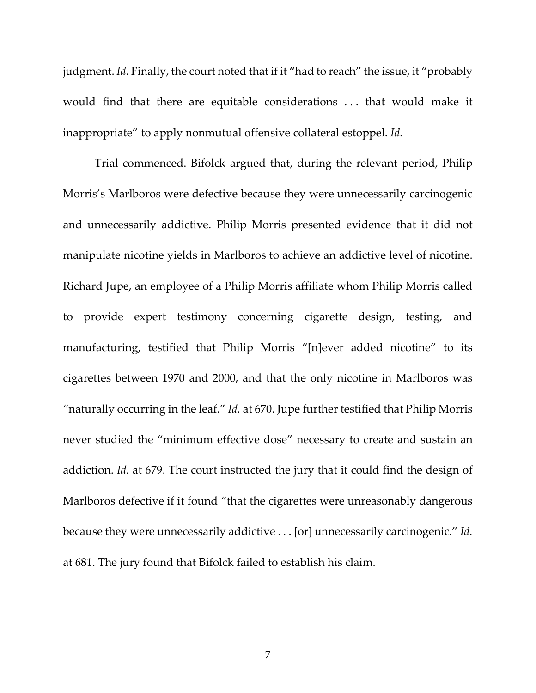judgment. *Id.* Finally, the court noted that if it "had to reach" the issue, it "probably would find that there are equitable considerations . . . that would make it inappropriate" to apply nonmutual offensive collateral estoppel. *Id.*

Trial commenced. Bifolck argued that, during the relevant period, Philip Morris's Marlboros were defective because they were unnecessarily carcinogenic and unnecessarily addictive. Philip Morris presented evidence that it did not manipulate nicotine yields in Marlboros to achieve an addictive level of nicotine. Richard Jupe, an employee of a Philip Morris affiliate whom Philip Morris called to provide expert testimony concerning cigarette design, testing, and manufacturing, testified that Philip Morris "[n]ever added nicotine" to its cigarettes between 1970 and 2000, and that the only nicotine in Marlboros was "naturally occurring in the leaf." *Id.* at 670. Jupe further testified that Philip Morris never studied the "minimum effective dose" necessary to create and sustain an addiction. *Id.* at 679. The court instructed the jury that it could find the design of Marlboros defective if it found "that the cigarettes were unreasonably dangerous because they were unnecessarily addictive . . . [or] unnecessarily carcinogenic." *Id.* at 681. The jury found that Bifolck failed to establish his claim.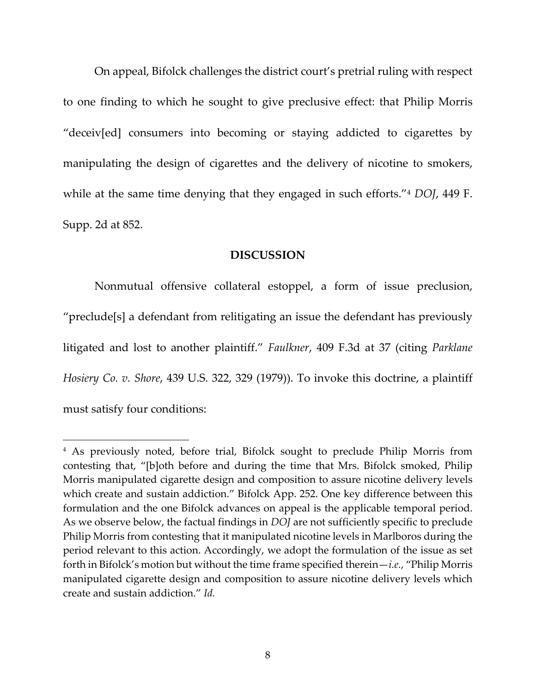On appeal, Bifolck challenges the district court's pretrial ruling with respect to one finding to which he sought to give preclusive effect: that Philip Morris "deceiv[ed] consumers into becoming or staying addicted to cigarettes by manipulating the design of cigarettes and the delivery of nicotine to smokers, while at the same time denying that they engaged in such efforts."4 *DOJ*, 449 F. Supp. 2d at 852.

#### **DISCUSSION**

Nonmutual offensive collateral estoppel, a form of issue preclusion, "preclude[s] a defendant from relitigating an issue the defendant has previously litigated and lost to another plaintiff." *Faulkner*, 409 F.3d at 37 (citing *Parklane Hosiery Co. v. Shore*, 439 U.S. 322, 329 (1979)). To invoke this doctrine, a plaintiff must satisfy four conditions:

<sup>4</sup> As previously noted, before trial, Bifolck sought to preclude Philip Morris from contesting that, "[b]oth before and during the time that Mrs. Bifolck smoked, Philip Morris manipulated cigarette design and composition to assure nicotine delivery levels which create and sustain addiction." Bifolck App. 252. One key difference between this formulation and the one Bifolck advances on appeal is the applicable temporal period. As we observe below, the factual findings in *DOJ* are not sufficiently specific to preclude Philip Morris from contesting that it manipulated nicotine levels in Marlboros during the period relevant to this action. Accordingly, we adopt the formulation of the issue as set forth in Bifolck's motion but without the time frame specified therein—*i.e.*, "Philip Morris manipulated cigarette design and composition to assure nicotine delivery levels which create and sustain addiction." *Id.*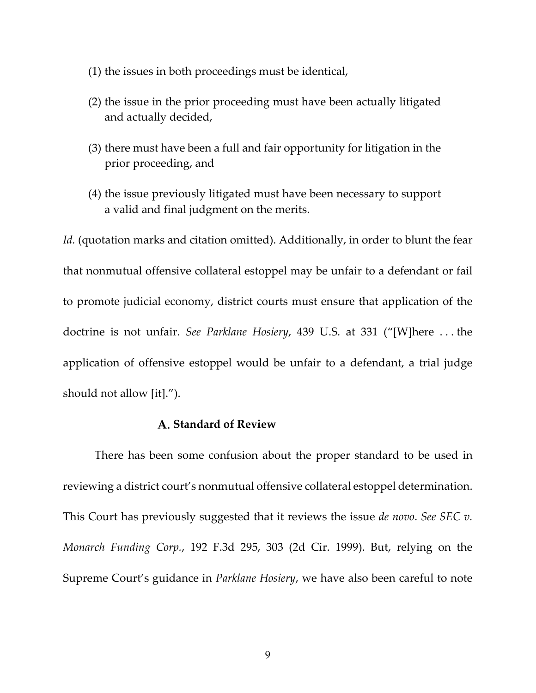- (1) the issues in both proceedings must be identical,
- (2) the issue in the prior proceeding must have been actually litigated and actually decided,
- (3) there must have been a full and fair opportunity for litigation in the prior proceeding, and
- (4) the issue previously litigated must have been necessary to support a valid and final judgment on the merits.

*Id.* (quotation marks and citation omitted). Additionally, in order to blunt the fear that nonmutual offensive collateral estoppel may be unfair to a defendant or fail to promote judicial economy, district courts must ensure that application of the doctrine is not unfair. *See Parklane Hosiery*, 439 U.S. at 331 ("[W]here . . . the application of offensive estoppel would be unfair to a defendant, a trial judge should not allow [it].").

## **Standard of Review**

There has been some confusion about the proper standard to be used in reviewing a district court's nonmutual offensive collateral estoppel determination. This Court has previously suggested that it reviews the issue *de novo*. *See SEC v. Monarch Funding Corp.*, 192 F.3d 295, 303 (2d Cir. 1999). But, relying on the Supreme Court's guidance in *Parklane Hosiery*, we have also been careful to note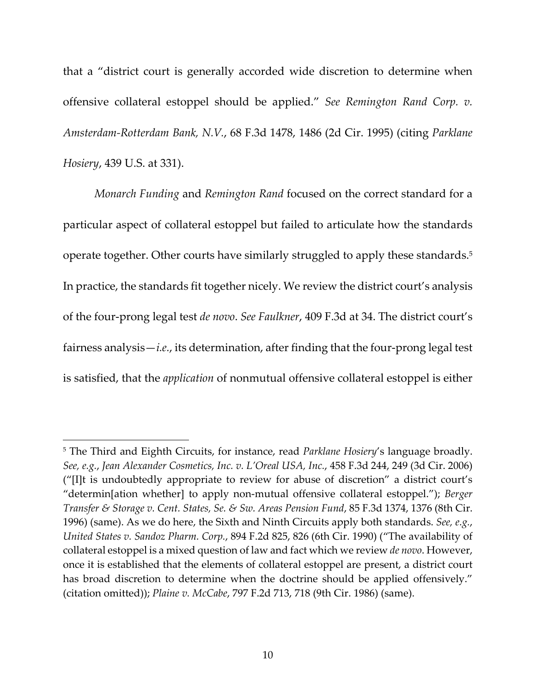that a "district court is generally accorded wide discretion to determine when offensive collateral estoppel should be applied." *See Remington Rand Corp. v. Amsterdam‐Rotterdam Bank, N.V.*, 68 F.3d 1478, 1486 (2d Cir. 1995) (citing *Parklane Hosiery*, 439 U.S. at 331).

*Monarch Funding* and *Remington Rand* focused on the correct standard for a particular aspect of collateral estoppel but failed to articulate how the standards operate together. Other courts have similarly struggled to apply these standards.<sup>5</sup> In practice, the standards fit together nicely. We review the district court's analysis of the four‐prong legal test *de novo*. *See Faulkner*, 409 F.3d at 34. The district court's fairness analysis—*i.e.*, its determination, after finding that the four-prong legal test is satisfied, that the *application* of nonmutual offensive collateral estoppel is either

<sup>5</sup> The Third and Eighth Circuits, for instance, read *Parklane Hosiery*'s language broadly. *See, e.g.*, *Jean Alexander Cosmetics, Inc. v. L'Oreal USA, Inc.*, 458 F.3d 244, 249 (3d Cir. 2006) ("[I]t is undoubtedly appropriate to review for abuse of discretion" a district court's "determin[ation whether] to apply non‐mutual offensive collateral estoppel."); *Berger Transfer & Storage v. Cent. States, Se. & Sw. Areas Pension Fund*, 85 F.3d 1374, 1376 (8th Cir. 1996) (same). As we do here, the Sixth and Ninth Circuits apply both standards. *See, e.g.*, *United States v. Sandoz Pharm. Corp.*, 894 F.2d 825, 826 (6th Cir. 1990) ("The availability of collateral estoppel is a mixed question of law and fact which we review *de novo*. However, once it is established that the elements of collateral estoppel are present, a district court has broad discretion to determine when the doctrine should be applied offensively." (citation omitted)); *Plaine v. McCabe*, 797 F.2d 713, 718 (9th Cir. 1986) (same).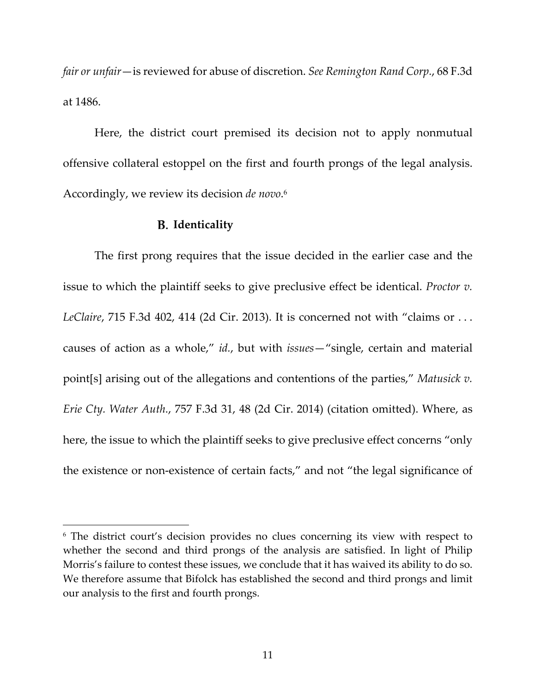*fair or unfair*—is reviewed for abuse of discretion. *See Remington Rand Corp.*, 68 F.3d at 1486.

Here, the district court premised its decision not to apply nonmutual offensive collateral estoppel on the first and fourth prongs of the legal analysis. Accordingly, we review its decision *de novo*. 6

#### **Identicality**

l

The first prong requires that the issue decided in the earlier case and the issue to which the plaintiff seeks to give preclusive effect be identical. *Proctor v. LeClaire*, 715 F.3d 402, 414 (2d Cir. 2013). It is concerned not with "claims or . . . causes of action as a whole," *id.*, but with *issues*—"single, certain and material point[s] arising out of the allegations and contentions of the parties," *Matusick v. Erie Cty. Water Auth.*, 757 F.3d 31, 48 (2d Cir. 2014) (citation omitted). Where, as here, the issue to which the plaintiff seeks to give preclusive effect concerns "only the existence or non‐existence of certain facts," and not "the legal significance of

<sup>6</sup> The district court's decision provides no clues concerning its view with respect to whether the second and third prongs of the analysis are satisfied. In light of Philip Morris's failure to contest these issues, we conclude that it has waived its ability to do so. We therefore assume that Bifolck has established the second and third prongs and limit our analysis to the first and fourth prongs.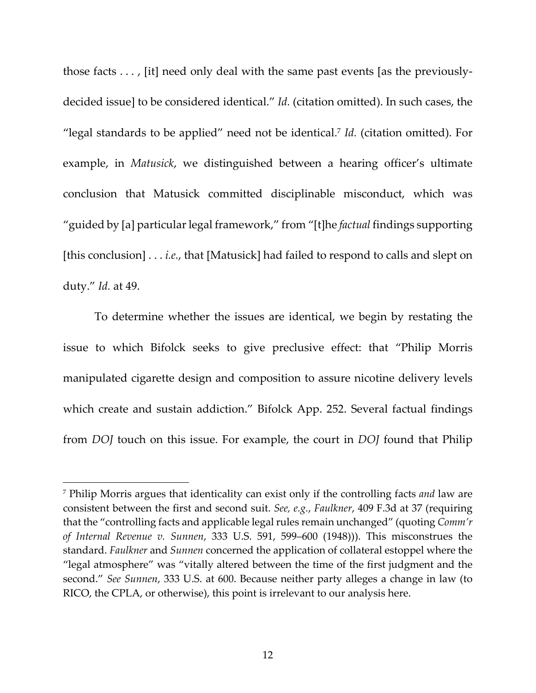those facts . . . , [it] need only deal with the same past events [as the previously‐ decided issue] to be considered identical." *Id.* (citation omitted). In such cases, the "legal standards to be applied" need not be identical.7 *Id.* (citation omitted). For example, in *Matusick*, we distinguished between a hearing officer's ultimate conclusion that Matusick committed disciplinable misconduct, which was "guided by [a] particular legal framework," from "[t]he *factual* findings supporting [this conclusion] . . . *i.e.*, that [Matusick] had failed to respond to calls and slept on duty." *Id.* at 49.

To determine whether the issues are identical, we begin by restating the issue to which Bifolck seeks to give preclusive effect: that "Philip Morris manipulated cigarette design and composition to assure nicotine delivery levels which create and sustain addiction." Bifolck App. 252. Several factual findings from *DOJ* touch on this issue. For example, the court in *DOJ* found that Philip

 $\overline{\phantom{a}}$ 

<sup>7</sup> Philip Morris argues that identicality can exist only if the controlling facts *and* law are consistent between the first and second suit. *See, e.g.*, *Faulkner*, 409 F.3d at 37 (requiring that the "controlling facts and applicable legal rules remain unchanged" (quoting *Comm'r of Internal Revenue v. Sunnen*, 333 U.S. 591, 599–600 (1948))). This misconstrues the standard. *Faulkner* and *Sunnen* concerned the application of collateral estoppel where the "legal atmosphere" was "vitally altered between the time of the first judgment and the second." *See Sunnen*, 333 U.S. at 600. Because neither party alleges a change in law (to RICO, the CPLA, or otherwise), this point is irrelevant to our analysis here.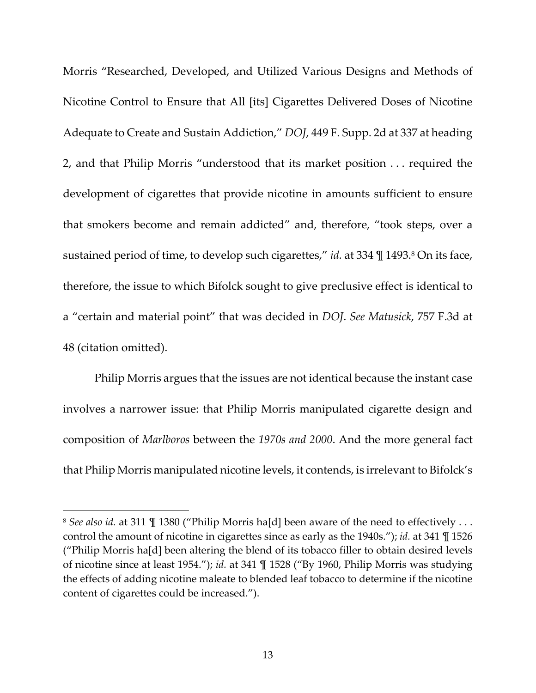Morris "Researched, Developed, and Utilized Various Designs and Methods of Nicotine Control to Ensure that All [its] Cigarettes Delivered Doses of Nicotine Adequate to Create and Sustain Addiction," *DOJ*, 449 F. Supp. 2d at 337 at heading 2, and that Philip Morris "understood that its market position . . . required the development of cigarettes that provide nicotine in amounts sufficient to ensure that smokers become and remain addicted" and, therefore, "took steps, over a sustained period of time, to develop such cigarettes," *id.* at 334 \leq 1493.<sup>8</sup> On its face, therefore, the issue to which Bifolck sought to give preclusive effect is identical to a "certain and material point" that was decided in *DOJ*. *See Matusick*, 757 F.3d at 48 (citation omitted).

Philip Morris argues that the issues are not identical because the instant case involves a narrower issue: that Philip Morris manipulated cigarette design and composition of *Marlboros* between the *1970s and 2000*. And the more general fact that Philip Morris manipulated nicotine levels, it contends, is irrelevant to Bifolck's

<sup>8</sup> *See also id.* at 311 ¶ 1380 ("Philip Morris ha[d] been aware of the need to effectively . . . control the amount of nicotine in cigarettes since as early as the 1940s."); *id.* at 341 ¶ 1526 ("Philip Morris ha[d] been altering the blend of its tobacco filler to obtain desired levels of nicotine since at least 1954."); *id.* at 341 ¶ 1528 ("By 1960, Philip Morris was studying the effects of adding nicotine maleate to blended leaf tobacco to determine if the nicotine content of cigarettes could be increased.").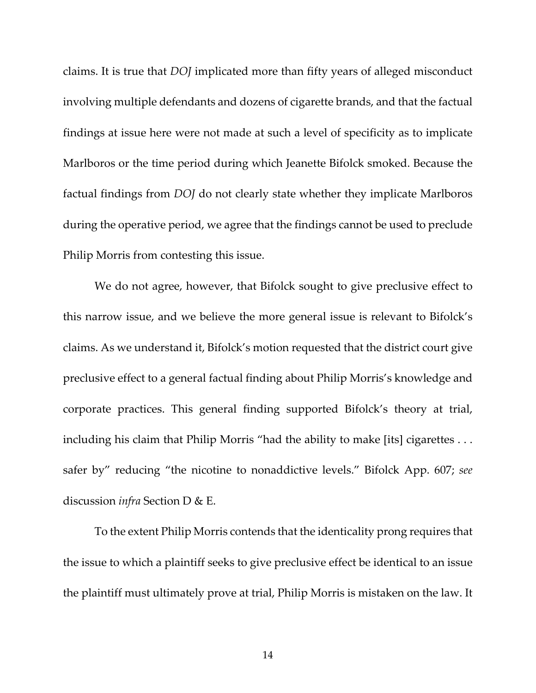claims. It is true that *DOJ* implicated more than fifty years of alleged misconduct involving multiple defendants and dozens of cigarette brands, and that the factual findings at issue here were not made at such a level of specificity as to implicate Marlboros or the time period during which Jeanette Bifolck smoked. Because the factual findings from *DOJ* do not clearly state whether they implicate Marlboros during the operative period, we agree that the findings cannot be used to preclude Philip Morris from contesting this issue.

We do not agree, however, that Bifolck sought to give preclusive effect to this narrow issue, and we believe the more general issue is relevant to Bifolck's claims. As we understand it, Bifolck's motion requested that the district court give preclusive effect to a general factual finding about Philip Morris's knowledge and corporate practices. This general finding supported Bifolck's theory at trial, including his claim that Philip Morris "had the ability to make [its] cigarettes . . . safer by" reducing "the nicotine to nonaddictive levels." Bifolck App. 607; *see* discussion *infra* Section D & E.

To the extent Philip Morris contends that the identicality prong requires that the issue to which a plaintiff seeks to give preclusive effect be identical to an issue the plaintiff must ultimately prove at trial, Philip Morris is mistaken on the law. It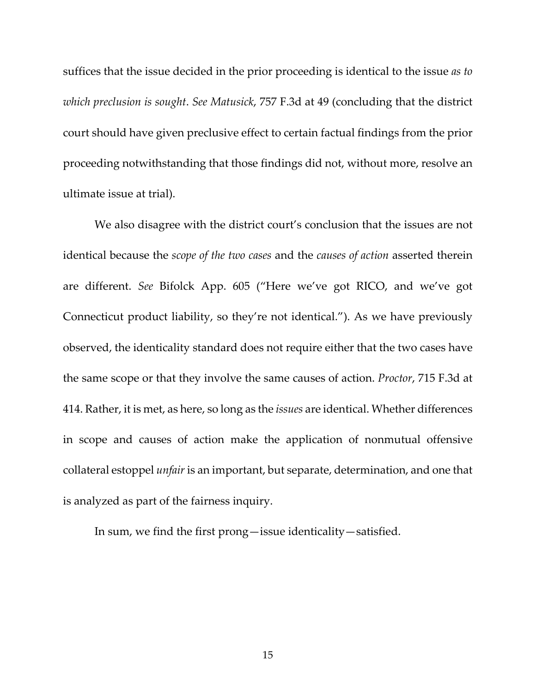suffices that the issue decided in the prior proceeding is identical to the issue *as to which preclusion is sought*. *See Matusick*, 757 F.3d at 49 (concluding that the district court should have given preclusive effect to certain factual findings from the prior proceeding notwithstanding that those findings did not, without more, resolve an ultimate issue at trial).

We also disagree with the district court's conclusion that the issues are not identical because the *scope of the two cases* and the *causes of action* asserted therein are different. *See* Bifolck App. 605 ("Here we've got RICO, and we've got Connecticut product liability, so they're not identical."). As we have previously observed, the identicality standard does not require either that the two cases have the same scope or that they involve the same causes of action. *Proctor*, 715 F.3d at 414. Rather, it is met, as here, so long as the *issues* are identical. Whether differences in scope and causes of action make the application of nonmutual offensive collateral estoppel *unfair* is an important, but separate, determination, and one that is analyzed as part of the fairness inquiry.

In sum, we find the first prong—issue identicality—satisfied.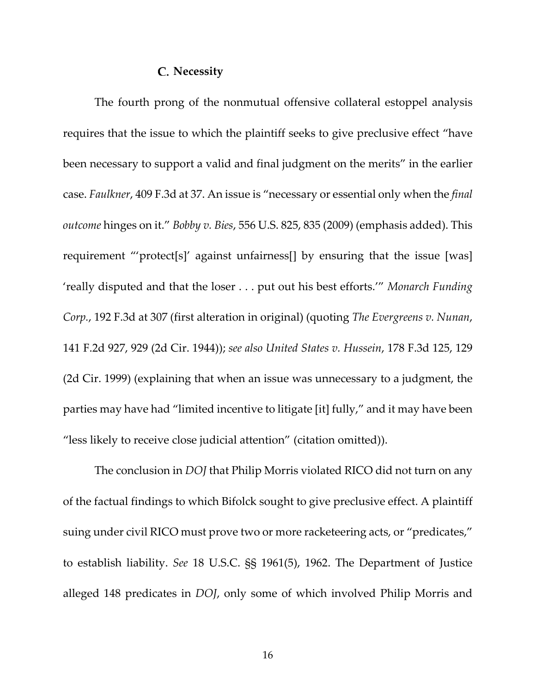### **Necessity**

The fourth prong of the nonmutual offensive collateral estoppel analysis requires that the issue to which the plaintiff seeks to give preclusive effect "have been necessary to support a valid and final judgment on the merits" in the earlier case. *Faulkner*, 409 F.3d at 37. An issue is "necessary or essential only when the *final outcome* hinges on it." *Bobby v. Bies*, 556 U.S. 825, 835 (2009) (emphasis added). This requirement "'protect[s]' against unfairness[] by ensuring that the issue [was] 'really disputed and that the loser . . . put out his best efforts.'" *Monarch Funding Corp.*, 192 F.3d at 307 (first alteration in original) (quoting *The Evergreens v. Nunan*, 141 F.2d 927, 929 (2d Cir. 1944)); *see also United States v. Hussein*, 178 F.3d 125, 129 (2d Cir. 1999) (explaining that when an issue was unnecessary to a judgment, the parties may have had "limited incentive to litigate [it] fully," and it may have been "less likely to receive close judicial attention" (citation omitted)).

The conclusion in *DOJ* that Philip Morris violated RICO did not turn on any of the factual findings to which Bifolck sought to give preclusive effect. A plaintiff suing under civil RICO must prove two or more racketeering acts, or "predicates," to establish liability. *See* 18 U.S.C. §§ 1961(5), 1962. The Department of Justice alleged 148 predicates in *DOJ*, only some of which involved Philip Morris and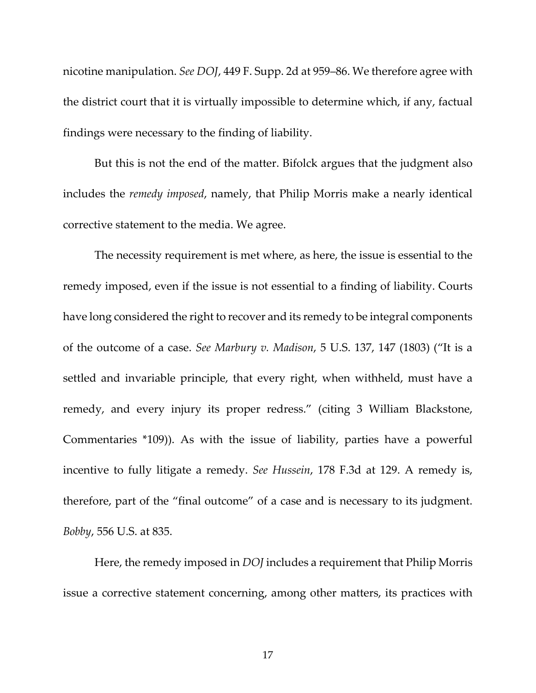nicotine manipulation. *See DOJ*, 449 F. Supp. 2d at 959–86. We therefore agree with the district court that it is virtually impossible to determine which, if any, factual findings were necessary to the finding of liability.

But this is not the end of the matter. Bifolck argues that the judgment also includes the *remedy imposed*, namely, that Philip Morris make a nearly identical corrective statement to the media. We agree.

The necessity requirement is met where, as here, the issue is essential to the remedy imposed, even if the issue is not essential to a finding of liability. Courts have long considered the right to recover and its remedy to be integral components of the outcome of a case. *See Marbury v. Madison*, 5 U.S. 137, 147 (1803) ("It is a settled and invariable principle, that every right, when withheld, must have a remedy, and every injury its proper redress." (citing 3 William Blackstone, Commentaries \*109)). As with the issue of liability, parties have a powerful incentive to fully litigate a remedy. *See Hussein*, 178 F.3d at 129. A remedy is, therefore, part of the "final outcome" of a case and is necessary to its judgment. *Bobby*, 556 U.S. at 835.

Here, the remedy imposed in *DOJ* includes a requirement that Philip Morris issue a corrective statement concerning, among other matters, its practices with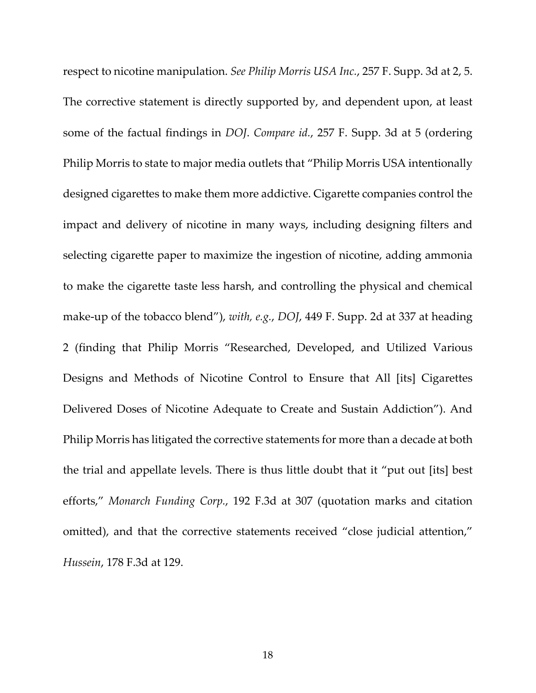respect to nicotine manipulation. *See Philip Morris USA Inc.*, 257 F. Supp. 3d at 2, 5. The corrective statement is directly supported by, and dependent upon, at least some of the factual findings in *DOJ*. *Compare id.*, 257 F. Supp. 3d at 5 (ordering Philip Morris to state to major media outlets that "Philip Morris USA intentionally designed cigarettes to make them more addictive. Cigarette companies control the impact and delivery of nicotine in many ways, including designing filters and selecting cigarette paper to maximize the ingestion of nicotine, adding ammonia to make the cigarette taste less harsh, and controlling the physical and chemical make‐up of the tobacco blend"), *with, e.g.*, *DOJ*, 449 F. Supp. 2d at 337 at heading 2 (finding that Philip Morris "Researched, Developed, and Utilized Various Designs and Methods of Nicotine Control to Ensure that All [its] Cigarettes Delivered Doses of Nicotine Adequate to Create and Sustain Addiction"). And Philip Morris has litigated the corrective statements for more than a decade at both the trial and appellate levels. There is thus little doubt that it "put out [its] best efforts," *Monarch Funding Corp.*, 192 F.3d at 307 (quotation marks and citation omitted), and that the corrective statements received "close judicial attention," *Hussein*, 178 F.3d at 129.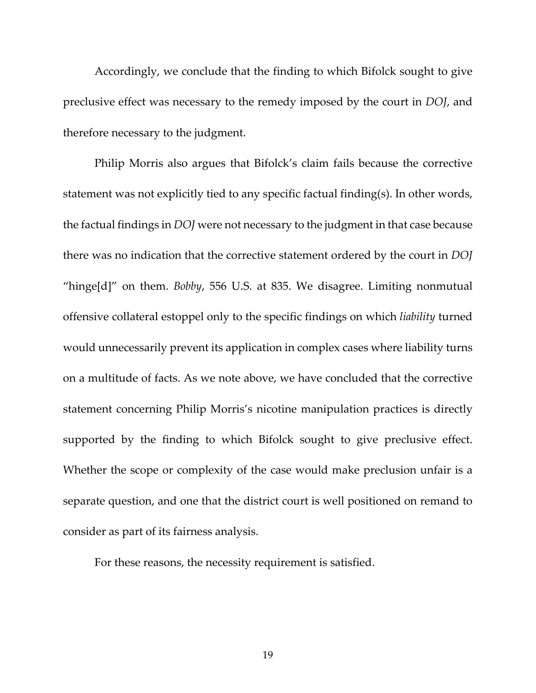Accordingly, we conclude that the finding to which Bifolck sought to give preclusive effect was necessary to the remedy imposed by the court in *DOJ*, and therefore necessary to the judgment.

Philip Morris also argues that Bifolck's claim fails because the corrective statement was not explicitly tied to any specific factual finding(s). In other words, the factual findings in *DOJ* were not necessary to the judgment in that case because there was no indication that the corrective statement ordered by the court in *DOJ* "hinge[d]" on them. *Bobby*, 556 U.S. at 835. We disagree. Limiting nonmutual offensive collateral estoppel only to the specific findings on which *liability* turned would unnecessarily prevent its application in complex cases where liability turns on a multitude of facts. As we note above, we have concluded that the corrective statement concerning Philip Morris's nicotine manipulation practices is directly supported by the finding to which Bifolck sought to give preclusive effect. Whether the scope or complexity of the case would make preclusion unfair is a separate question, and one that the district court is well positioned on remand to consider as part of its fairness analysis.

For these reasons, the necessity requirement is satisfied.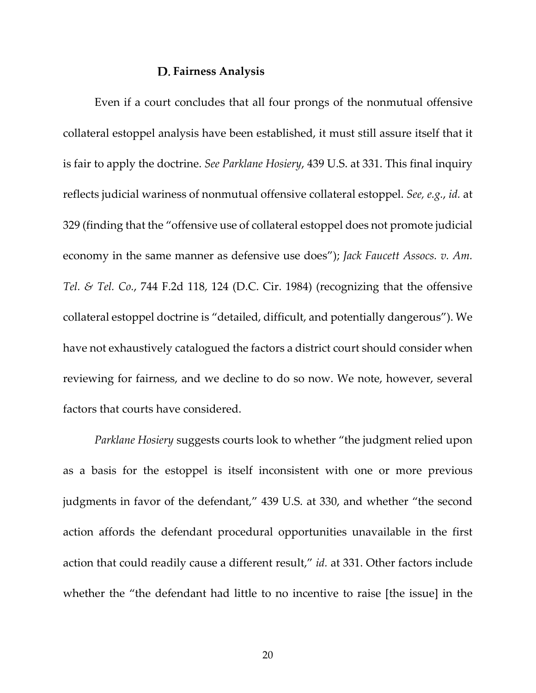#### **Fairness Analysis**

Even if a court concludes that all four prongs of the nonmutual offensive collateral estoppel analysis have been established, it must still assure itself that it is fair to apply the doctrine. *See Parklane Hosiery*, 439 U.S. at 331. This final inquiry reflects judicial wariness of nonmutual offensive collateral estoppel. *See, e.g.*, *id.* at 329 (finding that the "offensive use of collateral estoppel does not promote judicial economy in the same manner as defensive use does"); *Jack Faucett Assocs. v. Am. Tel. & Tel. Co.*, 744 F.2d 118, 124 (D.C. Cir. 1984) (recognizing that the offensive collateral estoppel doctrine is "detailed, difficult, and potentially dangerous"). We have not exhaustively catalogued the factors a district court should consider when reviewing for fairness, and we decline to do so now. We note, however, several factors that courts have considered.

*Parklane Hosiery* suggests courts look to whether "the judgment relied upon as a basis for the estoppel is itself inconsistent with one or more previous judgments in favor of the defendant," 439 U.S. at 330, and whether "the second action affords the defendant procedural opportunities unavailable in the first action that could readily cause a different result," *id.* at 331. Other factors include whether the "the defendant had little to no incentive to raise [the issue] in the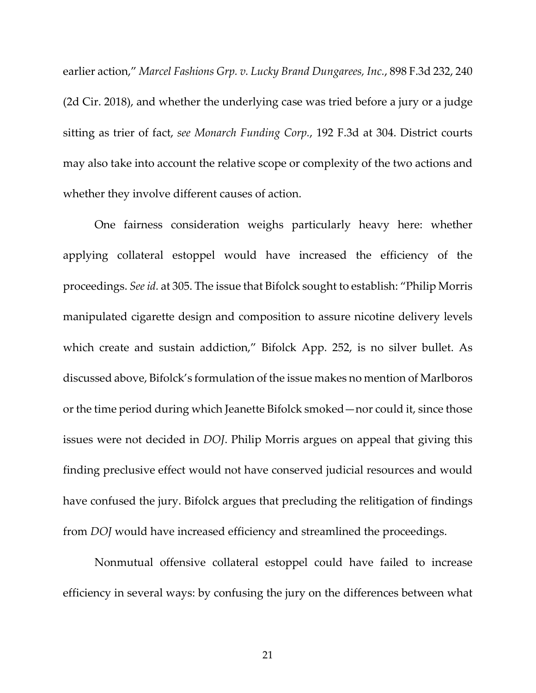earlier action," *Marcel Fashions Grp. v. Lucky Brand Dungarees, Inc.*, 898 F.3d 232, 240 (2d Cir. 2018), and whether the underlying case was tried before a jury or a judge sitting as trier of fact, *see Monarch Funding Corp.*, 192 F.3d at 304. District courts may also take into account the relative scope or complexity of the two actions and whether they involve different causes of action.

One fairness consideration weighs particularly heavy here: whether applying collateral estoppel would have increased the efficiency of the proceedings. *Seeid.* at 305. The issue that Bifolck sought to establish: "Philip Morris manipulated cigarette design and composition to assure nicotine delivery levels which create and sustain addiction," Bifolck App. 252, is no silver bullet. As discussed above, Bifolck's formulation of the issue makes no mention of Marlboros or the time period during which Jeanette Bifolck smoked—nor could it, since those issues were not decided in *DOJ*. Philip Morris argues on appeal that giving this finding preclusive effect would not have conserved judicial resources and would have confused the jury. Bifolck argues that precluding the relitigation of findings from *DOJ* would have increased efficiency and streamlined the proceedings.

Nonmutual offensive collateral estoppel could have failed to increase efficiency in several ways: by confusing the jury on the differences between what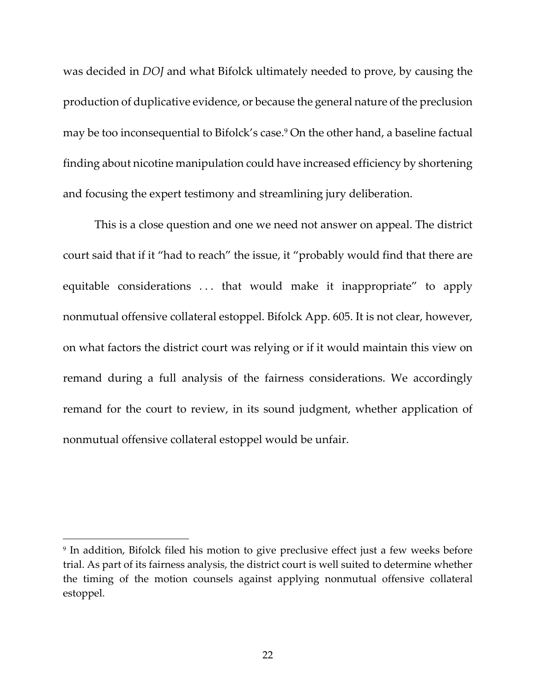was decided in *DOJ* and what Bifolck ultimately needed to prove, by causing the production of duplicative evidence, or because the general nature of the preclusion may be too inconsequential to Bifolck's case.<sup>9</sup> On the other hand, a baseline factual finding about nicotine manipulation could have increased efficiency by shortening and focusing the expert testimony and streamlining jury deliberation.

This is a close question and one we need not answer on appeal. The district court said that if it "had to reach" the issue, it "probably would find that there are equitable considerations . . . that would make it inappropriate" to apply nonmutual offensive collateral estoppel. Bifolck App. 605. It is not clear, however, on what factors the district court was relying or if it would maintain this view on remand during a full analysis of the fairness considerations. We accordingly remand for the court to review, in its sound judgment, whether application of nonmutual offensive collateral estoppel would be unfair.

 $\overline{\phantom{a}}$ 

<sup>9</sup> In addition, Bifolck filed his motion to give preclusive effect just a few weeks before trial. As part of its fairness analysis, the district court is well suited to determine whether the timing of the motion counsels against applying nonmutual offensive collateral estoppel.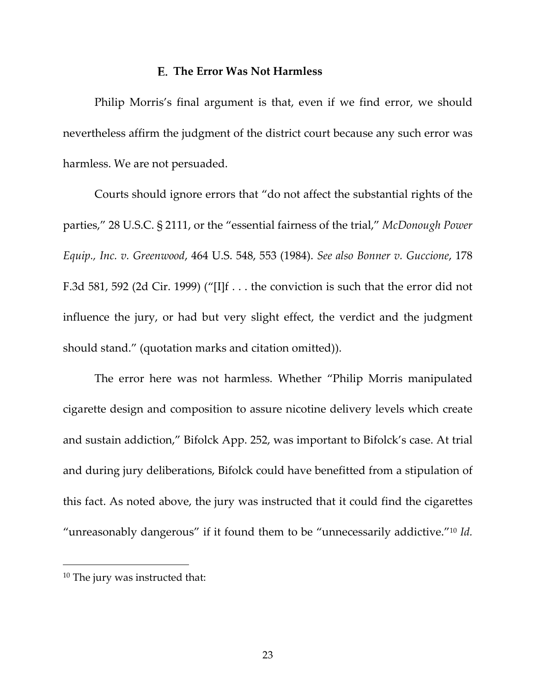#### **The Error Was Not Harmless**

Philip Morris's final argument is that, even if we find error, we should nevertheless affirm the judgment of the district court because any such error was harmless. We are not persuaded.

Courts should ignore errors that "do not affect the substantial rights of the parties," 28 U.S.C. § 2111, or the "essential fairness of the trial," *McDonough Power Equip., Inc. v. Greenwood*, 464 U.S. 548, 553 (1984). *See also Bonner v. Guccione*, 178 F.3d 581, 592 (2d Cir. 1999) ("[I]f . . . the conviction is such that the error did not influence the jury, or had but very slight effect, the verdict and the judgment should stand." (quotation marks and citation omitted)).

The error here was not harmless. Whether "Philip Morris manipulated cigarette design and composition to assure nicotine delivery levels which create and sustain addiction," Bifolck App. 252, was important to Bifolck's case. At trial and during jury deliberations, Bifolck could have benefitted from a stipulation of this fact. As noted above, the jury was instructed that it could find the cigarettes "unreasonably dangerous" if it found them to be "unnecessarily addictive."10 *Id.*

 $\overline{\phantom{a}}$ 

<sup>10</sup> The jury was instructed that: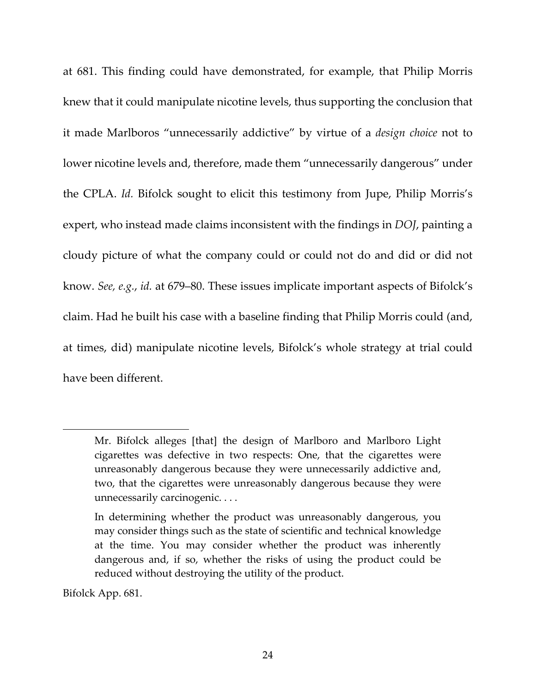at 681. This finding could have demonstrated, for example, that Philip Morris knew that it could manipulate nicotine levels, thus supporting the conclusion that it made Marlboros "unnecessarily addictive" by virtue of a *design choice* not to lower nicotine levels and, therefore, made them "unnecessarily dangerous" under the CPLA. *Id.* Bifolck sought to elicit this testimony from Jupe, Philip Morris's expert, who instead made claims inconsistent with the findings in *DOJ*, painting a cloudy picture of what the company could or could not do and did or did not know. *See, e.g.*, *id.* at 679–80. These issues implicate important aspects of Bifolck's claim. Had he built his case with a baseline finding that Philip Morris could (and, at times, did) manipulate nicotine levels, Bifolck's whole strategy at trial could have been different.

Bifolck App. 681.

Mr. Bifolck alleges [that] the design of Marlboro and Marlboro Light cigarettes was defective in two respects: One, that the cigarettes were unreasonably dangerous because they were unnecessarily addictive and, two, that the cigarettes were unreasonably dangerous because they were unnecessarily carcinogenic. . . .

In determining whether the product was unreasonably dangerous, you may consider things such as the state of scientific and technical knowledge at the time. You may consider whether the product was inherently dangerous and, if so, whether the risks of using the product could be reduced without destroying the utility of the product.